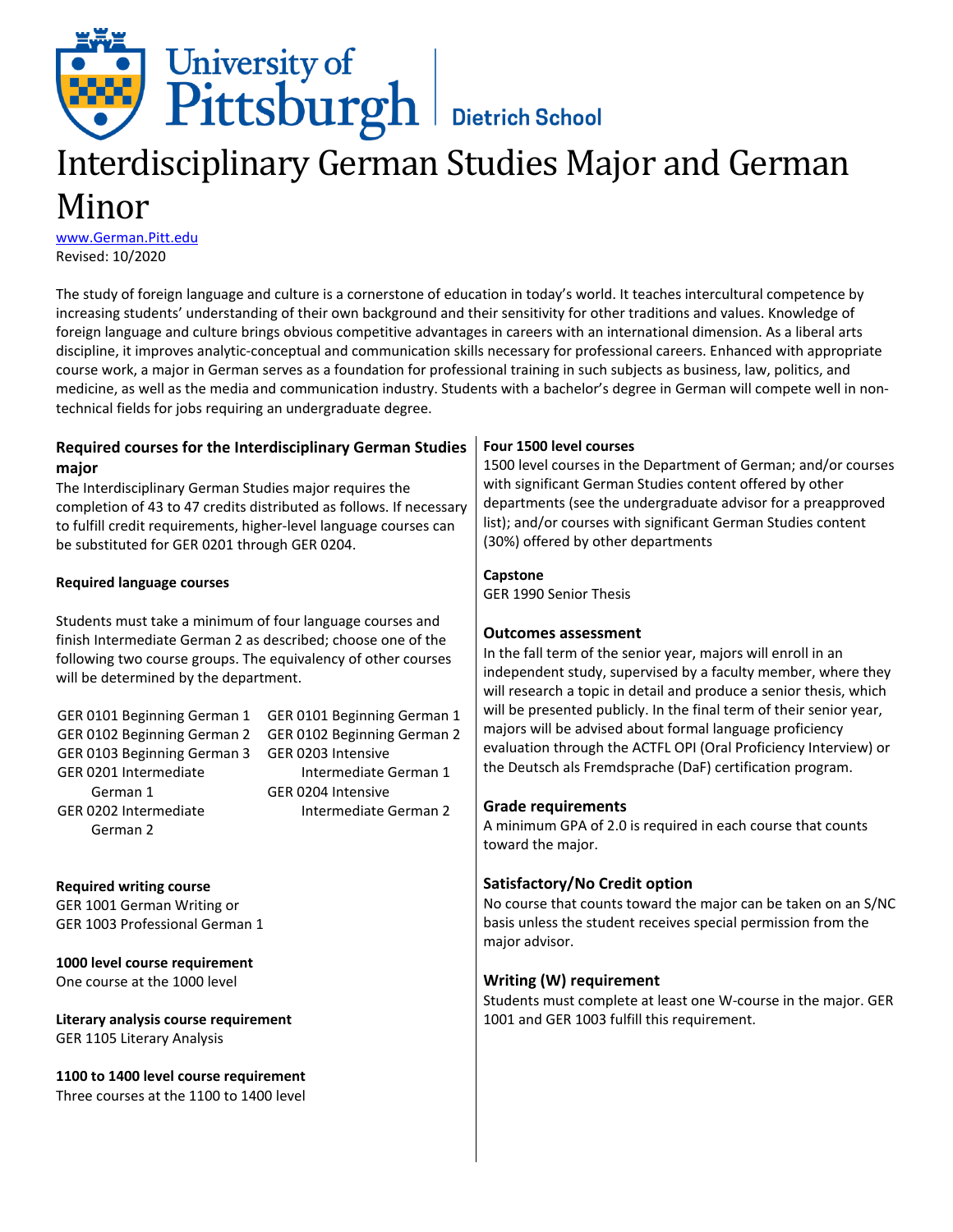

# Interdisciplinary German Studies Major and German Minor

[www.German.Pitt.edu](http://www.german.pitt.edu/) Revised: 10/2020

The study of foreign language and culture is a cornerstone of education in today's world. It teaches intercultural competence by increasing students' understanding of their own background and their sensitivity for other traditions and values. Knowledge of foreign language and culture brings obvious competitive advantages in careers with an international dimension. As a liberal arts discipline, it improves analytic-conceptual and communication skills necessary for professional careers. Enhanced with appropriate course work, a major in German serves as a foundation for professional training in such subjects as business, law, politics, and medicine, as well as the media and communication industry. Students with a bachelor's degree in German will compete well in nontechnical fields for jobs requiring an undergraduate degree.

#### **Required courses for the Interdisciplinary German Studies major** The Interdisciplinary German Studies major requires the completion of 43 to 47 credits distributed as follows. If necessary to fulfill credit requirements, higher-level language courses can be substituted for GER 0201 through GER 0204. **Required language courses** Students must take a minimum of four language courses and finish Intermediate German 2 as described; choose one of the following two course groups. The equivalency of other courses will be determined by the department. GER 0101 Beginning German 1 GER 0101 Beginning German 1 GER 0102 Beginning German 2 GER 0103 Beginning German 3 GER 0203 Intensive GER 0201 Intermediate German 1 GER 0202 Intermediate German 2 GER 0102 Beginning German 2 Intermediate German 1 GER 0204 Intensive Intermediate German 2 **Four 1500 level courses** 1500 level courses in the Department of German; and/or courses with significant German Studies content offered by other departments (see the undergraduate advisor for a preapproved list); and/or courses with significant German Studies content (30%) offered by other departments **Capstone** GER 1990 Senior Thesis **Outcomes assessment** In the fall term of the senior year, majors will enroll in an independent study, supervised by a faculty member, where they will research a topic in detail and produce a senior thesis, which will be presented publicly. In the final term of their senior year, majors will be advised about formal language proficiency evaluation through the ACTFL OPI (Oral Proficiency Interview) or the Deutsch als Fremdsprache (DaF) certification program. **Grade requirements** A minimum GPA of 2.0 is required in each course that counts

**Required writing course** GER 1001 German Writing or GER 1003 Professional German 1

**1000 level course requirement** One course at the 1000 level

**Literary analysis course requirement** GER 1105 Literary Analysis

**1100 to 1400 level course requirement** Three courses at the 1100 to 1400 level

## **Satisfactory/No Credit option**

toward the major.

No course that counts toward the major can be taken on an S/NC basis unless the student receives special permission from the major advisor.

#### **Writing (W) requirement**

Students must complete at least one W-course in the major. GER 1001 and GER 1003 fulfill this requirement.